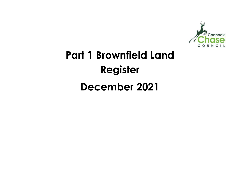

# Part 1 Brownfield Land Register December 2021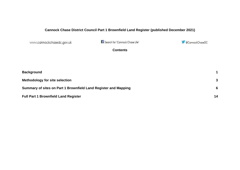## **Cannock Chase District Council Part 1 Brownfield Land Register (published December 2021)**

www.cannockchasedc.gov.uk

Search for 'Cannock Chase Life'

@CannockChaseDC

**Contents** 

| <b>Background</b>                                               |    |
|-----------------------------------------------------------------|----|
| <b>Methodology for site selection</b>                           | 3  |
| Summary of sites on Part 1 Brownfield Land Register and Mapping | ĥ  |
| <b>Full Part 1 Brownfield Land Register</b>                     | 14 |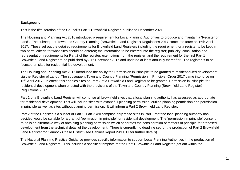#### **Background**

This is the fifth iteration of the Council's Part 1 Brownfield Register, published December 2021.

The Housing and Planning Act 2016 introduced a requirement for Local Planning Authorities to produce and maintain a 'Register of Land'. The subsequent Town and Country Planning (Brownfield Land Register) Regulations 2017 came into force on 16th April 2017. These set out the detailed requirements for Brownfield Land Registers including the requirement for a register to be kept in two parts; criteria for what sites should be entered; the information to be entered into the register; publicity, consultation and representation requirements for Part 2 of the register; exemptions from the register; and the requirement for the first Part 1 Brownfield Land Register to be published by 31<sup>st</sup> December 2017 and updated at least annually thereafter. The register is to be focused on sites for residential-led development.

The Housing and Planning Act 2016 introduced the ability for 'Permission in Principle' to be granted to residential-led development via the 'Register of Land'. The subsequent Town and Country Planning (Permission in Principle) Order 2017 came into force on 15<sup>th</sup> April 2017. In effect, this enables sites on Part 2 of a Brownfield Land Register to be granted 'Permission in Principle' for residential development when enacted with the provisions of the Town and Country Planning (Brownfield Land Register) Regulations 2017.

Part 1 of a Brownfield Land Register will comprise all brownfield sites that a local planning authority has assessed as appropriate for residential development. This will include sites with extant full planning permission, outline planning permission and permission in principle as well as sites without planning permission. It will inform a Part 2 Brownfield Land Register.

Part 2 of the Register is a subset of Part 1. Part 2 will comprise only those sites in Part 1 that the local planning authority has decided would be suitable for a grant of 'permission in principle' for residential development. The 'permission in principle' consent route is an alternative way of obtaining planning permission which separates the consideration of matters of principle for proposed development from the technical detail of the development. There is currently no deadline set for the production of Part 2 Brownfield Land Register for Cannock Chase District (see Cabinet Report 29/11/17 for further details).

The National Planning Practice Guidance provides specific information to support Local Planning Authorities in the production of Brownfield Land Registers. This includes a specified template for the Part 1 Brownfield Land Register (set out within the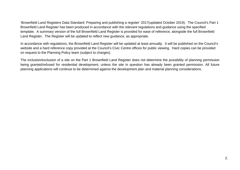'Brownfield Land Registers Data Standard: Preparing and publishing a register' 2017(updated October 2019). The Council's Part 1 Brownfield Land Register has been produced in accordance with the relevant regulations and guidance using the specified template. A summary version of the full Brownfield Land Register is provided for ease of reference, alongside the full Brownfield Land Register. The Register will be updated to reflect new guidance, as appropriate.

In accordance with regulations, the Brownfield Land Register will be updated at least annually. It will be published on the Council's website and a hard reference copy provided at the Council's Civic Centre offices for public viewing. Hard copies can be provided on request to the Planning Policy team (subject to charges).

The inclusion/exclusion of a site on the Part 1 Brownfield Land Register does not determine the possibility of planning permission being granted/refused for residential development, unless the site in question has already been granted permission. All future planning applications will continue to be determined against the development plan and material planning considerations.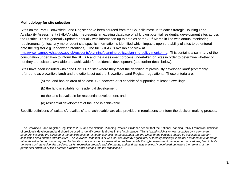#### **Methodology for site selection**

Sites on the Part 1 Brownfield Land Register have been sourced from the Councils most up to date Strategic Housing Land Availability Assessment (SHLAA) which represents an existing database of all known potential residential development sites across the District. This is generally updated annually with information up to date as at the 31<sup>st</sup> March in line with annual monitoring requirements (unless any more recent site specific information is identified which impacts upon the ability of sites to be entered onto the register e.g. landowner intentions). The full SHLAA is available to view at http://www.cannockchasedc.gov.uk/residents/planning/planning-policy/planning-policy-monitoring. This contains a summary of the

consultation undertaken to inform the SHLAA and the assessment process undertaken on sites in order to determine whether or not they are suitable, available and achievable for residential development (see further detail below).

Sites have been included within the Part 1 Register where they meet the definition of previously developed land<sup>1</sup> (commonly referred to as brownfield land) and the criteria set out the Brownfield Land Register regulations. These criteria are:

(a) the land has an area of at least 0.25 hectares or is capable of supporting at least 5 dwellings;

(b) the land is suitable for residential development;

(c) the land is available for residential development; and

(d) residential development of the land is achievable.

Specific definitions of 'suitable', 'available' and 'achievable' are also provided in regulations to inform the decision making process.

 $^{\text{1}}$ The Brownfield Land Register Regulations 2017 and the National Planning Practice Guidance set out that the National Planning Policy Framework definition of previously development land should be used to identify brownfield sites in the first instance. This is "Land which is or was occupied by a permanent structure, including the curtilage of the developed land (although it should not be assumed that the whole of the curtilage should be developed) and any associated fixed surface infrastructure. This excludes: land that is or was last occupied by agricultural or forestry buildings; land that has been developed for minerals extraction or waste disposal by landfill, where provision for restoration has been made through development management procedures; land in builtup areas such as residential gardens, parks, recreation grounds and allotments; and land that was previously developed but where the remains of the permanent structure or fixed surface structure have blended into the landscape." .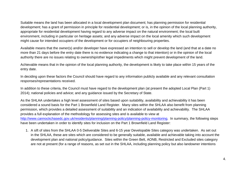Suitable means the land has been allocated in a local development plan document; has planning permission for residential development; has a grant of permission in principle for residential development; or is, in the opinion of the local planning authority, appropriate for residential development having regard to any adverse impact on the natural environment; the local built environment, including in particular on heritage assets; and any adverse impact on the local amenity which such development might cause for intended occupiers of the development or for occupiers of neighbouring properties.

Available means that the owner(s) and/or developer have expressed an intention to sell or develop the land (and that at a date no more than 21 days before the entry date there is no evidence indicating a change to that intention) or in the opinion of the local authority there are no issues relating to ownership/other legal impediments which might prevent development of the land.

Achievable means that in the opinion of the local planning authority, the development is likely to take place within 15 years of the entry date.

In deciding upon these factors the Council should have regard to any information publicly available and any relevant consultation responses/representations received.

In addition to these criteria, the Council must have regard to the development plan (at present the adopted Local Plan (Part 1) 2014); national policies and advice; and any guidance issued by the Secretary of State.

As the SHLAA undertakes a high level assessment of sites based upon suitability, availability and achievability it has been considered a sound basis for the Part 1 Brownfield Land Register. Many sites within the SHLAA also benefit from planning permission, which provides a detailed assessment of suitability and an indication of availability and achievability. The SHLAA provides a full explanation of the methodology for assessing sites and is available to view at http://www.cannockchasedc.gov.uk/residents/planning/planning-policy/planning-policy-monitoring. In summary, the following steps have been undertaken in order to identify sites for inclusion on the Part 1 Brownfield Land Register:

1. A sift of sites from the SHLAA 0-5 Deliverable Sites and 6-15 year Developable Sites category was undertaken. As set out in the SHLAA, these are sites which are considered to be generally suitable, available and achievable taking into account the development plan and national policy/guidance. Sites within the Green Belt, AONB, Restricted and Excluded sites category are not at present (for a range of reasons, as set out in the SHLAA, including planning policy but also landowner intentions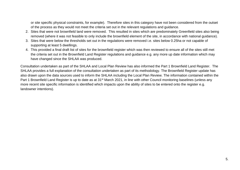or site specific physical constraints, for example). Therefore sites in this category have not been considered from the outset of the process as they would not meet the criteria set out in the relevant regulations and guidance.

- 2. Sites that were not brownfield land were removed. This resulted in sites which are predominately Greenfield sites also being removed (where it was not feasible to only include the brownfield element of the site, in accordance with national guidance).
- 3. Sites that were below the thresholds set out in the regulations were removed i.e. sites below 0.25ha or not capable of supporting at least 5 dwellings.
- 4. This provided a final draft list of sites for the brownfield register which was then reviewed to ensure all of the sites still met the criteria set out in the Brownfield Land Register regulations and guidance e.g. any more up date information which may have changed since the SHLAA was produced.

Consultation undertaken as part of the SHLAA and Local Plan Review has also informed the Part 1 Brownfield Land Register. The SHLAA provides a full explanation of the consultation undertaken as part of its methodology. The Brownfield Register update has also drawn upon the data sources used to inform the SHLAA including the Local Plan Review. The information contained within the Part 1 Brownfield Land Register is up to date as at 31<sup>st</sup> March 2021, in line with other Council monitoring baselines (unless any more recent site specific information is identified which impacts upon the ability of sites to be entered onto the register e.g. landowner intentions).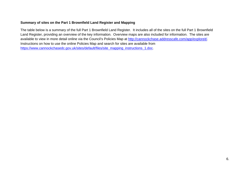#### **Summary of sites on the Part 1 Brownfield Land Register and Mapping**

The table below is a summary of the full Part 1 Brownfield Land Register. It includes all of the sites on the full Part 1 Brownfield Land Register, providing an overview of the key information. Overview maps are also included for information. The sites are available to view in more detail online via the Council's Policies Map at http://cannockchase.addresscafe.com/app/exploreit/. Instructions on how to use the online Policies Map and search for sites are available from https://www.cannockchasedc.gov.uk/sites/default/files/site\_mapping\_instructions\_1.doc.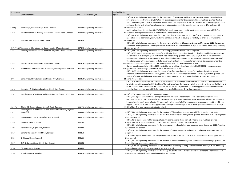| SiteReferen      |                                                                          |        |                                 | NetDwellingsRa |                                                                                                                                                                                                                                                                                                                                                                                                                                                                                                                                                                      |
|------------------|--------------------------------------------------------------------------|--------|---------------------------------|----------------|----------------------------------------------------------------------------------------------------------------------------------------------------------------------------------------------------------------------------------------------------------------------------------------------------------------------------------------------------------------------------------------------------------------------------------------------------------------------------------------------------------------------------------------------------------------------|
| ce               | <b>SiteNameAddress</b>                                                   | GeoY   | PermissionType                  | ngeTo          | <b>Notes</b>                                                                                                                                                                                                                                                                                                                                                                                                                                                                                                                                                         |
|                  |                                                                          |        |                                 |                | CH/16/410 is full planning permission for the conversion of the existing building to form 13 apartments, granted February<br>2017 and under construction. CH/17/195 is full planning permission for the erection of 2no. dwellings, granted October<br>2017. 15 dwellings on site total. Developer advises site to be completed in 2019/20. CH/18/214 is planning application for<br>additional 2 units on the first floor of conversion, not yet determined (site capacity may increase to 17 dwellings). 15                                                        |
| C90(b)           | Whitelodge, New Penkridge Road, Cannock                                  |        | 397022 full planning permission |                | 17 completions to date                                                                                                                                                                                                                                                                                                                                                                                                                                                                                                                                               |
|                  | Blackford's Former Working Men's Club, Cannock Road, Cannock             |        | 398707 full planning permission |                | Buildings have been demolished. CH/15/0497 is full planning permission for 26 apartments, granted March 2017. Site<br>26 owned by developer who intends to build out site. Under construction.                                                                                                                                                                                                                                                                                                                                                                       |
| C <sub>269</sub> |                                                                          |        |                                 |                | CH/15/0078 is full planning permission for 21no. 1 bed flats, granted May 2015. CH/18/167 was revised outline planning                                                                                                                                                                                                                                                                                                                                                                                                                                               |
| C <sub>152</sub> | 26-28 Wolverhampton Road, Cannock                                        | 397923 |                                 |                | application for 25 apartments, now withdrawn. Landowner intends to develop-potentially as landlord to future rental<br>25 properties.                                                                                                                                                                                                                                                                                                                                                                                                                                |
|                  |                                                                          |        |                                 |                | CH/16/364 is full planning permission for the conversion of offices to 14 apartments, granted November 2016. Landowner<br>is intended developer of site. Developer advises that the site will be completed 2019/2020 (currently undertaking finishing                                                                                                                                                                                                                                                                                                                |
|                  | C272 (Part 2) Langbourn, Hillcroft and Ivy House, Longford Road, Cannock |        | 397528 full planning permission |                | 14 external works).                                                                                                                                                                                                                                                                                                                                                                                                                                                                                                                                                  |
| C327             | Land at junction of Cannock Road and Burgoyne Street, Cannock            |        | 399346 full planning permission |                | 14 CH/14/0097 is full planning permission for 14 dwellings, granted October 2016. Completed                                                                                                                                                                                                                                                                                                                                                                                                                                                                          |
|                  |                                                                          |        |                                 |                | CH/13/0323 is outline planning permission for residential development: Erection of 111 dwellings, public house/restaurant<br>and provision of public open space (outline all matters reserved), granted March 2016. CH/16/124 is reserved matters<br>approval, granted June 2016. Incorporates 50% affordable housing provision (to be developed by Walsall Housing Group).                                                                                                                                                                                          |
|                  |                                                                          |        |                                 |                | The site included within the register excludes the area which has been reserved for commercial development under the                                                                                                                                                                                                                                                                                                                                                                                                                                                 |
| C335             | Land off Lakeside Boulevard, Bridgtown, Cannock                          |        | 397919 full planning permission |                | 111 original outline planning permission. Net developable area 3.1ha. 96 completions to date.                                                                                                                                                                                                                                                                                                                                                                                                                                                                        |
|                  |                                                                          |        |                                 |                | Outline planning permission CH/14/0293 granted for up to 120 dwellings (May 2015). CH/15/0492 is reserved matters                                                                                                                                                                                                                                                                                                                                                                                                                                                    |
| R19              | Former Ultra Electronics Site, Main Road/Armitage Road, Brereton         |        | 405178 full planning permission |                | 103 approval for 103 dwellings, granted July 2016. 66 completions to date.                                                                                                                                                                                                                                                                                                                                                                                                                                                                                           |
|                  |                                                                          |        |                                 |                | CH/12/0433 is full planning permission for change of use from care home to 20. no flats and erection of first storey                                                                                                                                                                                                                                                                                                                                                                                                                                                 |
|                  |                                                                          |        |                                 |                | extension and erection of entrance lobby, granted March 2013. Revised application for 22 flats (CH/13/0433) granted April                                                                                                                                                                                                                                                                                                                                                                                                                                            |
|                  |                                                                          |        |                                 |                | 2014. CH/16/444 is full planning permission for an extension to form 2 additional dwellings, granted April 2017. 22                                                                                                                                                                                                                                                                                                                                                                                                                                                  |
| R97              | Land off Coulthwaite Way, Coulthwaite Way, Brereton                      |        | 404863 full planning permission |                | 24 completions to date.                                                                                                                                                                                                                                                                                                                                                                                                                                                                                                                                              |
| C420             | Land at 61 & 65 Wimblebury Road, Heath Hay, Cannock                      |        | 401560 full planning permission |                | CH/17/070 is outline planning permission for the erection of 10 dwellings. The full extent of this site including greenfield<br>land is 0.31ha with a capacity of 10 dwellings. The register reflects the size and indicative capacity of the brownfield elemen<br>of the site only. For full details on the site please see the SHLAA. CH/18/042 is full planning permission for the erection of<br>6 9no. dwellings, granted March 2018. No change in brownfield capacity. 7 dwellings completed.                                                                  |
| R16              | Land between Wharf Road and Hardie Avenue, Rugeley WS15 1NX              |        | 404280 full planning permission |                | 78 CH/19/374 granted March 2020. Under construction.                                                                                                                                                                                                                                                                                                                                                                                                                                                                                                                 |
| C422 (b)         | Blocks C-D Beecroft Court, Beecroft Road, Cannock                        |        | 398270 full planning permission |                | CH/17/113 is prior approval for the change of use from offices to 60 apartments. Two blocks of 40 flats have been<br>completed (Site C422(a)). Site C422(b) is for the outstanding 20 units. Developer is site owner and advises that 12 units to<br>be completed in short term. 10 units still occupied by office tenants but to be developed once vacated (Part 2 in 6-15 year<br>supply). CH/18/359 is prior pproval applications for the proposed change of use of lower ground floor of Block D from (B1<br>22 Office) into 2no. apartments, not yet determined |
|                  | Land adjacent to 67 McGhie Street, Hednesford (formerly adjacent         |        |                                 |                |                                                                                                                                                                                                                                                                                                                                                                                                                                                                                                                                                                      |
| C31              | to no. 73)                                                               |        | 399838 full planning permission |                | 6 CH/17/004 is full planning permission for the erection of 6 bungalows, granted March 2017. 5 completions to date.                                                                                                                                                                                                                                                                                                                                                                                                                                                  |
|                  |                                                                          |        |                                 |                | CH/16/243 is full planning permission for the erection of 3 houses and 3 bungalows, granted November 2016. Development                                                                                                                                                                                                                                                                                                                                                                                                                                               |
| C343             | Garage Court, Land at Hannaford Way, Cannock                             |        | 398817 full planning permission |                | 6 has commenced.                                                                                                                                                                                                                                                                                                                                                                                                                                                                                                                                                     |
| C349             | 1-3B Mill Street, Cannock                                                | 398146 |                                 |                | CH/14/0243 is prior approval for change of use of first and second floors from B1 office up to 8 dwellings, granted<br>8 September 2014. Within Conservation Area - adjacent to listed building. Recently expired.<br>CH/16/214 is full planning permission for the conservation of offices to 9no apartments, granted September 2016. Planning                                                                                                                                                                                                                      |
| C408             | Balfour House, High Green, Cannock                                       | 397873 |                                 |                | 9 permission has expired.                                                                                                                                                                                                                                                                                                                                                                                                                                                                                                                                            |
|                  |                                                                          |        |                                 |                | CH/16/269 is full planning permission for the erection of 5 apartments, granted April 2017. Planning permission has now                                                                                                                                                                                                                                                                                                                                                                                                                                              |
| C417             | Land to the rear of 6 Mill Street, Cannock                               | 398210 |                                 |                | 5 expired                                                                                                                                                                                                                                                                                                                                                                                                                                                                                                                                                            |
| C424             | 1-3 Walsall Road, Cannock                                                | 398165 |                                 |                | CH/16/443 is prior approval for the change of use from offices to 6 studio flats, granted January 2017. Planning permission<br>6 has expired.                                                                                                                                                                                                                                                                                                                                                                                                                        |
| C427             | 249 Hednesford Road, Heath Hay, Cannock                                  | 400864 |                                 |                | CH/17/002 is full planning permission for the erection of 6 detached dwellings and 2 semi-detached dwellings, granted April<br>8 2017. Planning permission has expired.                                                                                                                                                                                                                                                                                                                                                                                              |
| R136             | 37 Bower Lane, Rugeley                                                   | 403408 |                                 |                | CH/15/0205 is full planning permission for the demolition of existing dwelling and erection of 6 dwellings (5 net dwellings)<br>5 granted August 2016. Planning permission has now expired.                                                                                                                                                                                                                                                                                                                                                                          |
| R148             | 9 Wolseley Road, Rugeley                                                 |        | 404379 full planning permission |                | CH/16/342 is full planning permission for the change of use of a former day care centre and cottage to 7 apartments and<br>7 cottage, granted March 2017. Development has commenced.                                                                                                                                                                                                                                                                                                                                                                                 |
|                  |                                                                          |        |                                 |                |                                                                                                                                                                                                                                                                                                                                                                                                                                                                                                                                                                      |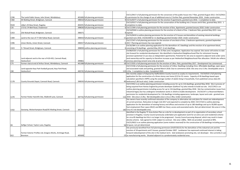| CH/11/0417 is full planning permission for the conversion of the public house into 7 flats, granted August 2012. CH/15/042<br>9 is permission for the change of use of additional area to 2 further flats, granted November 2016. Under construction.<br>9 CH/15/0377 is full planning permission for the erection 9 apartments, granted June 2016. 1 completion to date.<br>CH/13/0317 is full planning permission for the conservation of the building into 2 houses and 6 flats, granted May 2015. 1 |
|---------------------------------------------------------------------------------------------------------------------------------------------------------------------------------------------------------------------------------------------------------------------------------------------------------------------------------------------------------------------------------------------------------------------------------------------------------------------------------------------------------|
|                                                                                                                                                                                                                                                                                                                                                                                                                                                                                                         |
|                                                                                                                                                                                                                                                                                                                                                                                                                                                                                                         |
|                                                                                                                                                                                                                                                                                                                                                                                                                                                                                                         |
|                                                                                                                                                                                                                                                                                                                                                                                                                                                                                                         |
|                                                                                                                                                                                                                                                                                                                                                                                                                                                                                                         |
| 6 CH/17/399 is full planning permission for the erection of 6no. Apartments, granted January 2018. Under construction                                                                                                                                                                                                                                                                                                                                                                                   |
| CH/14/0344 is outline planning permission for the erection of a block of 9no. 1 bedroom flats, granted May 2015- now                                                                                                                                                                                                                                                                                                                                                                                    |
|                                                                                                                                                                                                                                                                                                                                                                                                                                                                                                         |
| CH/15/0410 is outline planning permission for the erection of 5 houses and demolition of existing industrial buildings,                                                                                                                                                                                                                                                                                                                                                                                 |
|                                                                                                                                                                                                                                                                                                                                                                                                                                                                                                         |
| CH/17/247 is full planning permission for the erection of one block of 6no. 2 bedroom apartments, granted September                                                                                                                                                                                                                                                                                                                                                                                     |
|                                                                                                                                                                                                                                                                                                                                                                                                                                                                                                         |
| CH/16/384 is an outline planning application for the demolition of 2 dwellings and the erection of an apartment block,                                                                                                                                                                                                                                                                                                                                                                                  |
|                                                                                                                                                                                                                                                                                                                                                                                                                                                                                                         |
| CH/08/0165 is full planning permission for 25 flats and 2 bungalows. Application has expired. Site owner still wishes to take                                                                                                                                                                                                                                                                                                                                                                           |
| site forward for residential development. Site identified in Hednesford Neighbourhood Plan for retirement housing                                                                                                                                                                                                                                                                                                                                                                                       |
| provision (potential C3 use class as independent apartments). Potential for site area to expand to adjacent land under same                                                                                                                                                                                                                                                                                                                                                                             |
| land ownership and for capacity to therefore increase as per Hednesford Neighbourhood Plan allocation. SHLAA site reflect                                                                                                                                                                                                                                                                                                                                                                               |
|                                                                                                                                                                                                                                                                                                                                                                                                                                                                                                         |
| 18 CH/17/035 is full planning permission for the erection of 18no. Flats, granted May 2017. Development has commenced.                                                                                                                                                                                                                                                                                                                                                                                  |
| CH/17/236 is full planning permission for the erection of 119no. Dwellings including 21no. Affordable dwellings, open space                                                                                                                                                                                                                                                                                                                                                                             |
| and associated roads and parking, granted March 2018. Due to commence 2018. Site area circa 5.3ha. Developable area is                                                                                                                                                                                                                                                                                                                                                                                  |
|                                                                                                                                                                                                                                                                                                                                                                                                                                                                                                         |
| Site recently subject of disposal by Staffordshire County Council as surplus to requirements. CH/19/010 is full planning                                                                                                                                                                                                                                                                                                                                                                                |
| application for the construction of a three storey care home (C2) for 91 rooms. Capacity of 49 dwellings based upon                                                                                                                                                                                                                                                                                                                                                                                     |
| calculation specified in NPPG using the average number of adults living in households, from published census data (91                                                                                                                                                                                                                                                                                                                                                                                   |
|                                                                                                                                                                                                                                                                                                                                                                                                                                                                                                         |
| CH/17/452 is an outline planning permission including access for up to 116 dwellings, granted May 2018. Site in process of                                                                                                                                                                                                                                                                                                                                                                              |
| being acquired from Homes England by private developer (Galiford Try) who intends to build out site. CH/17/452 is an                                                                                                                                                                                                                                                                                                                                                                                    |
| outline planning permission including access for up to 116 dwellings, granted May 2018. Site has contamination issues fron                                                                                                                                                                                                                                                                                                                                                                              |
| industrial legacy but has undergone remediation works in 2018 to enable development. CH/19/147 is a Reserved Matters                                                                                                                                                                                                                                                                                                                                                                                    |
| permission for residential development for 116 dwellings including appearance, landscape, layout and scale - granted June                                                                                                                                                                                                                                                                                                                                                                               |
|                                                                                                                                                                                                                                                                                                                                                                                                                                                                                                         |
| Site owners have recently confirmed relocation of the company to alternative site and plans for mixed use redevelopment                                                                                                                                                                                                                                                                                                                                                                                 |
| of current premises. Relocation to begin mid-2017 and expected to complete by 2020. CH/17/323 is outline planning                                                                                                                                                                                                                                                                                                                                                                                       |
| application for the demolition of existing factory and offices and erection of up to 180 dwellings and up to 30,000 square                                                                                                                                                                                                                                                                                                                                                                              |
| foot employment floor space (B1(C) and B89 Use Class), access and associated works. Not yet determined. Site area is 5.3ha                                                                                                                                                                                                                                                                                                                                                                              |
|                                                                                                                                                                                                                                                                                                                                                                                                                                                                                                         |
| Identified in the Rugeley TC Area Action Plan as a site for re-development as part of re-organisation of secondary school                                                                                                                                                                                                                                                                                                                                                                               |
| provision in Rugeley. County Council previously undertaken pre-application work for an extra care and residential scheme                                                                                                                                                                                                                                                                                                                                                                                |
| for circa 85 dwellings but this is no longer to be progressed. County Council pursuing disposal, which may result in lower                                                                                                                                                                                                                                                                                                                                                                              |
| density scheme. Sale agreed to CCDC subject to contract. Site area 1.88ha. NDA not provided- assumed at 90%.                                                                                                                                                                                                                                                                                                                                                                                            |
| CH/21/0022 is an outline planning application (some matters reserved) for the construction of 58 dwellings including acces                                                                                                                                                                                                                                                                                                                                                                              |
|                                                                                                                                                                                                                                                                                                                                                                                                                                                                                                         |
| Site previously benefited from full planning permission (CH/07/0215) for the demolition of the industrial unit and the                                                                                                                                                                                                                                                                                                                                                                                  |
| erection of 18 apartments and 5 houses, granted October 2007. Landowner has expressed continued interest in taking                                                                                                                                                                                                                                                                                                                                                                                      |
| forward redevelopment of the site in the medium term. Sole landowner promoting site, not developer. Site currently in us                                                                                                                                                                                                                                                                                                                                                                                |
|                                                                                                                                                                                                                                                                                                                                                                                                                                                                                                         |
|                                                                                                                                                                                                                                                                                                                                                                                                                                                                                                         |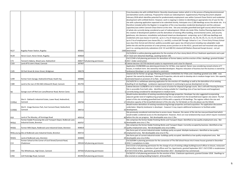|                 |                                                                 |        |                                 | Cross boundary site with Lichfield District. Recently closed power station which is in the process of being decommission    |
|-----------------|-----------------------------------------------------------------|--------|---------------------------------|-----------------------------------------------------------------------------------------------------------------------------|
|                 |                                                                 |        |                                 | and demolition works underway. Proposed for mixed use redevelopment. Supplementary Planning Document adopted                |
|                 |                                                                 |        |                                 | February 2018 which identifies potential for predominately employment uses within Cannock Chase District and reside         |
|                 |                                                                 |        |                                 |                                                                                                                             |
|                 |                                                                 |        |                                 | development with Lichfield District. However, work is ongoing in relation to identifying an appropriate mix of uses for t   |
|                 |                                                                 |        |                                 | site with a planning application expected to be submitted shortly. Anticipate circa 2,300 dwellings across the whole sit    |
|                 |                                                                 |        |                                 | therefore included within the Register in recognition of the cross boundary residential development and the unknown         |
|                 |                                                                 |        |                                 | capacities/uses within Cannock Chase District at this time. Site area excludes greenfield land (golf course) which forms    |
|                 |                                                                 |        |                                 | of whole site currently being considered as part of redevelopment. Whole site totals 55ha. Outline Planning Applicatio      |
|                 |                                                                 |        |                                 | the creation of development platform and the demolition of existing office building, environmental centre, and securit      |
|                 |                                                                 |        |                                 |                                                                                                                             |
|                 |                                                                 |        |                                 | gatehouse, site clearance, remediation and phased mixed-use development comprising: up to 2,300 new dwellings an            |
|                 |                                                                 |        |                                 | residential units (use classes C3 and C2); up to 1.2 ha of mixed-use (use classes A1, A2, A3, A4, A5, C1, C2, C3, D1 and I  |
|                 |                                                                 |        |                                 | up to 5 ha of employment (use classes B1a, b, c and B2); a school (All Through School or 1 no. 2 Form Entry Primary Sc      |
|                 |                                                                 |        |                                 | (use class D1)); formal and informal publicly accessible open space; key infrastructure including new adoptable roads       |
|                 |                                                                 |        |                                 | within the site and the provision of a new primary access junction on to the A513; ground and roof mounted solar pan        |
|                 |                                                                 |        |                                 | and 2 no. existing electricity substations (132 KV and 400 KV) retained (All Matters Reserved Except Access) - not yet      |
|                 |                                                                 |        |                                 |                                                                                                                             |
| R127            | <b>Rugeley Power Station, Rugeley</b>                           | 405601 |                                 | 2300 determined                                                                                                             |
|                 |                                                                 |        |                                 | CH/15/0416 is outline planning application for the erection of a four storey block of 8 no 2-bedroom apartments and a       |
| R139            | Heron Court, Heron Street, Rugeley                              | 404664 |                                 | 10 of 3 bed semi-detached dwellings, awaiting Section 106.                                                                  |
|                 |                                                                 |        |                                 | CH/17/249 is full planning permission for demolition of former bakery and the erection of 8no. dwellings, granted Octo      |
| C <sub>73</sub> | Tennent's Bakery, Wood Lane, Hednesford                         |        | 400677 full planning permission | 8 2017. Under construction                                                                                                  |
| C103            | Land off St John's Road, Cannock                                | 397907 |                                 | 8 Cabinet decision 10/7/03 declared surplus to requirements and is due for disposal.                                        |
|                 |                                                                 |        |                                 | Application CH/08/0006 was planning permission for 16 flats, now expired. Owner now considering revised scheme of           |
|                 |                                                                 |        |                                 |                                                                                                                             |
|                 |                                                                 |        |                                 | houses, in medium term. Site owned by intended developers. Requires relocation of business but this business is owne        |
| C105            | 50 Park Street & Union Street, Bridgtown                        | 398278 |                                 | 7 landowner/developer so not considered a constraint.                                                                       |
|                 |                                                                 |        |                                 | Cleared site for former car garage. Planning permission CH/05/0161 for 9 flats and 2 dwellings granted June 2006 - nov      |
|                 |                                                                 |        |                                 | expired. Site owned by developer, Tudorworth Properties, who do wish to develop site in medium-longer term. Site ca         |
| C299            | Former Farm Garage, Hednesford Road, Heath Hay                  | 400886 |                                 | 6 estimated based on provision of no flats - dwellings only.                                                                |
|                 |                                                                 |        |                                 | CH/14/0176 is a withdrawn planning application for the erection of 5 dwellings as well as the demolition of an existing     |
|                 | Land to the rear of 454-460 Littleworth Road, Cannock           | 401793 |                                 |                                                                                                                             |
| C389            |                                                                 |        |                                 | 4 dwelling (4 net dwellings). Landowner expressed interest in continuing to pursue development on site.                     |
|                 |                                                                 |        |                                 | Cabinet decision 21/08/08 to set in motion course of action for disposal of garage courts. Site is still with Housing Servi |
|                 |                                                                 |        |                                 | Site is accessible from both sides. Identified as being suitable for 5 dwellings (mix of two bed houses and bungalows)      |
| N5              | Garage court off Red Lion Lane/Braemar Road, Norton Canes       | 402626 |                                 | J currently being considered for development in medium term.                                                                |
|                 |                                                                 |        |                                 | Would involve demolition of existing manufacturing/storage properties. Developer has also suggested incorporating           |
|                 |                                                                 |        |                                 | adjacent garden land of neighbouring properties but this is excluded from the brownfield land register site extent. The     |
|                 | Site A - Oakland's Industrial Estate, Lower Road, Hednesford,   |        |                                 | extent of this site including greenfield land is 0.91ha with a capacity of 34 dwellings. The register reflects the size and |
|                 |                                                                 |        |                                 | 17 indicative capacity of the brownfield element of the site only. For full details on the site please see the SHLAA.       |
| C220(a)         | Cannock                                                         | 399794 |                                 |                                                                                                                             |
|                 |                                                                 |        |                                 | Would involve demolition of existing manufacturing/storage properties and land acquisition. Pre-application discussior      |
|                 | Site B - Image Business Park, East Cannock Road, Hednesford,    |        |                                 | undertaken. Majority landowner is developer - however it may require additional landowners to facilitate wider              |
| C220(b)         | Cannock                                                         | 399723 |                                 | 33 development.                                                                                                             |
|                 |                                                                 |        |                                 | Site previously considered restricted due to access issues. However, the owner of the site has now purchased land whi       |
|                 |                                                                 |        |                                 | would enable a widened access to the development. However, there are now landownership issues which require resc            |
| R18             | Land at The Mossley, off Armitage Road                          | 405014 |                                 | 40 before the site can progress. Net developable area circa 1.3ha.                                                          |
|                 |                                                                 |        |                                 |                                                                                                                             |
|                 | Former Kodak Processing Site and Transport Depot, Redbrook Lane |        |                                 | Site comprises the former Kodak Finishing Works and Transport Depot. Identified as low quality employment area. Ne          |
| R43(a)          | Industrial Estate, Brereton                                     | 404767 |                                 | 70 developable area circa 1.7ha.                                                                                            |
|                 |                                                                 |        |                                 | Site comprises the former Kodak Finishing Works and Transport Depot. Currently occupied by business. Identified as lo       |
| R43(b)          | Former Milk Depot, Redbrook Lane Industrial Estate, Brereton    | 404819 |                                 | 23 quality employment area. Net developable area circa 0.68ha.                                                              |
|                 |                                                                 |        |                                 | Site forms part of current industrial estate- buildings partly occupied. Multiple landowners. Identified as low quality     |
|                 | R43(c,d,e,f,g Site at Redbrook Lane Industrial Estate, Brereton | 404723 |                                 | 24 employment area. Net developable area circa 0.7ha.                                                                       |
|                 |                                                                 |        |                                 | Site forms part of current industrial estate- buildings partly occupied. Identified as low quality employment area. Net     |
|                 |                                                                 |        |                                 |                                                                                                                             |
| R43(h)          | Land at Redbrook Lane, Brereton                                 | 404800 |                                 | 20 developable area circa 0.6ha.                                                                                            |
|                 | Former School at the Corner of Cecil Street/Cannock Road,       |        |                                 | CH/10/0384 is planning permission for the conversion of The Old School House into 6 mews houses granted in Decemb           |
| C13             | Chadsmoor                                                       |        | 399104 full planning permission | 6 2010. 5 completions to date.                                                                                              |
|                 |                                                                 |        |                                 | CH/17/210 is full planning permission for the change of use of existing college building/council offices to leisure, restau |
|                 |                                                                 |        |                                 | and ancillary retail use, retention of part offices and 7no. Apartments, granted September 2017. CH/17/395 is resubmi       |
| C439            | The Whitehouse, High Green, Cannock                             |        | 397926 full planning permission | 8 of CH/17/210 of 8no. apartments, granted December 2017. Development has commenced.                                        |
|                 |                                                                 |        |                                 | CH/18/315 is full planning permission for the erection of 6no. 2 bedroom apartments, granted October 2018. Dwelling         |
|                 |                                                                 |        |                                 |                                                                                                                             |
| C456            | 124 Penkridge Road, Cannock                                     |        | 401992 full planning permission | 6 be erected on existing building footprint- all brownfield.                                                                |

ation which is in the process of being decommissioned ment. Supplementary Planning Document adopted ment uses within Cannock Chase District and residential ation to identifying an appropriate mix of uses for the nticipate circa 2,300 dwellings across the whole site. It is excludes greenfield land (golf course) which forms part Whole site totals 55ha. Outline Planning Application for the creation of development platform and the demondition of the definity lopment comprising: up to 2,300 new dwellings and (use classes A1, A2, A3, A4, A5, C1, C2, C3, D1 and D2); Il Through School or 1 no. 2 Form Entry Primary School key infrastructure including new adoptable roads n to the A513; ground and roof mounted solar panels ed (All Matters Reserved Except Access) - not yet

If storey block of 8 no 2-bedroom apartments and a pair

ry and the erection of 8no. dwellings, granted October

expired. Owner now considering revised scheme of 7 res relocation of business but this business is owned by

for 9 flats and 2 dwellings granted June 2006 - now vish to develop site in medium-longer term. Site capacity

osal of garage courts. Site is still with Housing Services.

ties. Developer has also suggested incorporating d from the brownfield land register site extent. The full of 34 dwellings. The register reflects the size and ties and land acquisition. Pre-application discussions

the owner of the site has now purchased land which e are now landownership issues which require resolution

oot. Currently occupied by business. Identified as low

hool House into 6 mews houses granted in December

ng college building/council offices to leisure, restaurant ts, granted September 2017. CH/17/395 is resubmission pment has commenced.

room apartments, granted October 2018. Dwellings to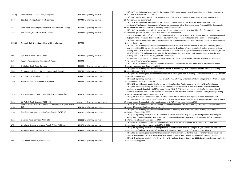|         |                                                                  |        |                                    | CH/18/035 is full planning permission for the erection of 12no apartments, granted September 2018. Shares access with               |
|---------|------------------------------------------------------------------|--------|------------------------------------|-------------------------------------------------------------------------------------------------------------------------------------|
| C222(d) | Roman Court, Cannock South, Bridgtown                            |        | 398593 full planning permission    | 12 site C382. Development has commenced.                                                                                            |
|         |                                                                  |        |                                    | CH/18/041 is prior notification for change of use from office space to residential apartments, granted January 2019.                |
| C457    | 108, 102-106 High Green Court, Cannock                           |        | 397920 full planning permission    | 10 Development has commenced.                                                                                                       |
|         |                                                                  |        |                                    | CH/18/016 is full planning permission for the change of use of the Cedar Tree Hotel and annex to provide 11 no                      |
|         |                                                                  |        |                                    | apartments/dwellings and development of the car park to provide 16 no dwellings, granted February 2019. Developer is                |
| R23     | Main Road, Brereton (between Cedar Tree Hotel and Library)       |        | 405394 full planning permission    | 27 site owner and advises in process of procuring contractors for works.                                                            |
|         |                                                                  |        |                                    | CH/19/049 is a planning application for the conversion of former Public House to 8no. Flats, 2no. Bedsits and 2-storey              |
| C478    | The Roebuck, 54 Stafford Road, Cannock                           |        | 397947 full planning permission    | 10 extensions, granted November 2019. Development has commenced                                                                     |
|         |                                                                  |        |                                    | Relates to site C481 (a). CH/19/391 is a full planning application for change of use from retail ((A1) to 5 number residential      |
|         |                                                                  |        |                                    | (C3) apartments) at ground floor (alteration to boundary from prior approval applications) - approved awaiting S106.                |
|         |                                                                  |        |                                    | CH/20/082 is prior approval for a proposed change of use of a building from A1 to C3 - proposed change to front elevation -         |
| C481(b) | Newhall, High Green Court, Newhall Street, Cannock               | 397904 |                                    | 6 not yet determined.                                                                                                               |
|         |                                                                  |        |                                    | CH/19/021 is a planning application for the demolition of existing retail unit and erection of 5no. New dwellings, granted          |
|         |                                                                  |        |                                    | May 2019. CH/20/206 is a planning application for the partial demolition of existing retail unit and construction of 4 new          |
|         |                                                                  |        |                                    | dwelling houses with private drives, a small extension to the retail unit, to regularise the rear elevation at first floor, refused |
|         |                                                                  |        |                                    | July 2020.CH/20/330 is planning permission for the partial demolition of existing retail unit and construction of 4 new             |
| N70     | 151 Walsall Road, Norton Canes                                   |        | 401890 full planning permission    | 5 dwelling houses with private drives, granted Decmber 2020.                                                                        |
|         |                                                                  |        |                                    | Site suggested for conversion to residential apartments. No capacity suggested by applicant. Capacity has potential to              |
| R186    | Rugeley Police Station, Anson Street, Rugeley                    | 404392 |                                    | 7 increase with higher density proposal.                                                                                            |
|         |                                                                  |        |                                    | CH/18/145 is a planning application for the erection of 6no. 2 bed houses and 2no. 3 bed houses, not yet determined.                |
| C469    | 1 Brindley Heath Road, Cannock                                   |        | 400406 outline planning permission | 8 Former workshop/yard. Granted July 2019                                                                                           |
|         |                                                                  |        |                                    | CH/19/408 is a planning application for the construction of 44 dwellings - 50% are proposed to be affordable housing -              |
|         | Former Council Depot, Old Hednesford Road, Cannock               |        | 399298 full planning permission    | 44 granted February 2020. Under construction                                                                                        |
| C500    |                                                                  |        |                                    | CH/20/004 is a planning application for the demolition of existing commercial building and the erection of 7no. Apartments          |
|         |                                                                  |        |                                    |                                                                                                                                     |
| R195    | 2 Elmore Lane, Rugeley, WS15 2DJ                                 |        | 404332 full planning permission    | 7 granted February 2020                                                                                                             |
|         |                                                                  |        |                                    | CH/19/239 is planning permission for change of use from A4 (Drinking Establishment) to A1 (shops) and C3 (Dwelling House            |
| C350    | Pied Piper, 114 Pye Green Road, Cannock                          |        | 398068 full planning permission    | - granted October 2019, completed.                                                                                                  |
|         |                                                                  |        |                                    | CH/18/275 is a withdrawn application for the demolition of existing Public House and erection of 6no. New houses.                   |
|         |                                                                  |        |                                    | CH/19/094 is outline planning permission for the conversion of public house to 2no. Apartments and erection of 5no.                 |
|         |                                                                  |        |                                    | Dwellings (resubmission of CH/18/275) granted August 2019. CH/20/168 is planning permission for the conversion of                   |
|         |                                                                  |        |                                    | derelict public house into 2 apartments and the provision of 6no. detached and semi-detached 2 storey housing including             |
| C476    | The Queens Arms Public House, 37 Hill Street, Hednesford         |        | 400318 full planning permission    | 8 private access road, granted September 2020.                                                                                      |
|         |                                                                  |        |                                    | CH/19/399 is an outline application - some matters reserved for residential development of 12no. Apartments and                     |
|         |                                                                  |        |                                    | associated works - Withdrawn 06/02/2020. CH/20/128 is an outline application (some matters reserved) for the erection of            |
| C498    | 23 Walsall Road, Cannock, WS11 5BU                               | 398240 | outline planning permission        | 12 12 apartments & associated works (re-submission of CH/19/399), granted February 2021                                             |
|         | Lea Hall Miners Welfare & Social Club, Sandy Lane, Rugeley, WS15 |        |                                    | CH/20/292 is a planning application for the proposed development for Platform Housing Association on redundant tennis               |
| R203    | 2LB                                                              |        | 404283 full planning permission    | 14 courts - 14 residential units, granted March 2021.                                                                               |
|         |                                                                  |        |                                    | CH/20/002 is a planning application for the erection of 18 dwellings with associated access, parking, open space, and               |
| R194    | Pear Tree Youth Centre, Hislop Road, Rugeley, WS15 1LS           |        | 404287 full planning permission    | 18 drainage - Granted May 2020                                                                                                      |
|         |                                                                  |        |                                    | CH/20/244 is planning permission for the retention of fround floor retial (A1), change of use of part first floor and part          |
|         |                                                                  |        |                                    | second floor from ancillary Class A1 to Class C3 (6no. Residential units) with associated cycle parking, refuse storage and         |
| C522    | 5 Market Place, Cannock, WS11 1BS                                |        | 398054 full planning permission    | 6 external alterations, granted October 2020.                                                                                       |
|         |                                                                  |        |                                    | CH/20/398 is a planning application for the demolition of existing kennel buildings and erection of 3no. Detached                   |
| N76     | Lime Lane Kennels, Lime Lane, Pelsall, Walsall, WS3 5AL          |        | 401878 full planning permission    | 3 bungalows and associated works, granted March 2021.                                                                               |
|         |                                                                  |        |                                    | CH/19/368 is planning permission to change the use of first floor from dance studio/gym (D2) to provide 9no. Residential            |
| R192    | 27 Market Street, Rugeley, WS15 2BS                              |        | 404509 full planning permission    | 9 units (C3) and flexible A1/A2/B1a/D1/D2 in line with Schedule 2, Part 3, Class V of GDPO. Granted July 2020.                      |
|         |                                                                  |        |                                    | CH/18/013 is a planning application for the demolition of former Sycamore Bowling Club and ancillary timber structures.             |
|         |                                                                  |        |                                    | Construction of new access road and parking. Erection of 13 houses and 1 bungalow. Withdrawn - September 2020.                      |
|         |                                                                  |        |                                    | CH/19/248 is planning application for the erection of 9 dwellings. Granted September 2020. Development would involve the            |
| N67     | 272 Hednesford Road, Norton Canes                                |        | 401992 full planning permission    | 9 loss of a bowling green.                                                                                                          |
|         |                                                                  |        |                                    |                                                                                                                                     |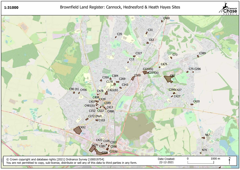1:31000

Brownfield Land Register: Cannock, Hednesford & Heath Hayes Sites



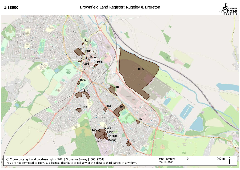### 1:18000

# Brownfield Land Register: Rugeley & Brereton



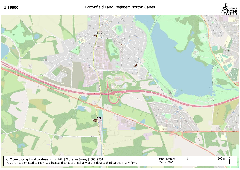1:15000

# Brownfield Land Register: Norton Canes



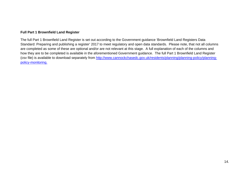#### **Full Part 1 Brownfield Land Register**

The full Part 1 Brownfield Land Register is set out according to the Government guidance 'Brownfield Land Registers Data Standard: Preparing and publishing a register' 2017 to meet regulatory and open data standards. Please note, that not all columns are completed as some of these are optional and/or are not relevant at this stage. A full explanation of each of the columns and how they are to be completed is available in the aforementioned Government guidance. The full Part 1 Brownfield Land Register (csv file) is available to download separately from <u>http://www.cannockchasedc.gov.uk/residents/planning/planning-policy/planning-</u><br>relievanceritarian policy-monitoring.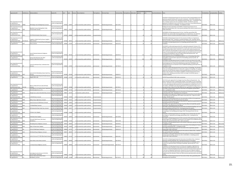| OrganisationURI                                  |               | SiteReference SiteNameAddress                                                           | iteplanURL                                          | ieoY   |               | Hectares OwnershipStatus             | lanningStatus    | ermissionType               | rmissionDate | PlanningHistory Deliverable | ngeFrom | NetDwellingsRa NetDwellingsRan<br>geTo | HazardousSubstances                                                                                                                                                                              | FirstAddedDate | LastUpdatedDate | :ndDate    |
|--------------------------------------------------|---------------|-----------------------------------------------------------------------------------------|-----------------------------------------------------|--------|---------------|--------------------------------------|------------------|-----------------------------|--------------|-----------------------------|---------|----------------------------------------|--------------------------------------------------------------------------------------------------------------------------------------------------------------------------------------------------|----------------|-----------------|------------|
|                                                  |               |                                                                                         |                                                     |        |               |                                      |                  |                             |              |                             |         |                                        |                                                                                                                                                                                                  |                |                 |            |
|                                                  |               |                                                                                         |                                                     |        |               |                                      |                  |                             |              |                             |         |                                        |                                                                                                                                                                                                  |                |                 |            |
|                                                  |               |                                                                                         |                                                     |        |               |                                      |                  |                             |              |                             |         |                                        | CH/16/410 is full planning permission for the conversion of the existing building to form 1<br>apartments, granted February 2017 and under construction. CH/17/195 is full planning              |                |                 |            |
| http://opendatacommunit                          |               |                                                                                         | http://cannockchase.addr                            |        |               |                                      |                  |                             |              |                             |         |                                        | permission for the erection of 2no. dwellings, granted October 2017. 15 dwellings on site<br>total. Developer advises site to be completed in 2019/20. CH/18/214 is planning                     |                |                 |            |
| es.org/id/district-                              |               |                                                                                         | esscafe.com/app/explore                             |        |               |                                      |                  |                             |              |                             |         |                                        | application for additional 2 units on the first floor of conversion, not yet determined (site                                                                                                    |                |                 |            |
| council/cannock-chase                            | C90(b)        | Whitelodge, New Penkridge Road, Cannock                                                 |                                                     | 397022 | 310567        | 0.23 not owned by a public authority | permissioned     | full planning permission    | 2017-10-03   |                             |         |                                        | capacity may increase to 17 dwellings). 15 completions to date                                                                                                                                   | 2017-09-01     | 2021-12-20      |            |
| http://opendatacommuni<br>es.org/id/district-    |               | Blackford's Former Working Men's Club,                                                  | http://cannockchase.addi<br>esscafe.com/app/explore |        |               |                                      |                  |                             |              |                             |         |                                        | Buildings have been demolished. CH/15/0497 is full planning permission for 26<br>apartments, granted March 2017. Site owned by developer who intends to build out site.                          |                |                 |            |
| council/cannock-chase                            | C269          | Cannock Road, Cannock                                                                   |                                                     | 398707 | 311001        | 0.4 not owned by a public authority  | permissioned     | full planning permission    | 2017-03-21   |                             |         |                                        | Under construction.                                                                                                                                                                              | 2017-09-01     | 2021-12-20      | 2020-12-15 |
| http://opendatacommunit                          |               |                                                                                         | http://cannockchase.addr                            |        |               |                                      |                  |                             |              |                             |         |                                        | CH/15/0078 is full planning permission for 21no. 1 bed flats, granted May 2015.                                                                                                                  |                |                 |            |
| es.org/id/district-                              |               |                                                                                         | esscafe.com/app/explore                             |        |               |                                      |                  |                             |              |                             |         |                                        | CH/18/167 was revised outline planning application for 25 apartments, now withdrawn.                                                                                                             |                |                 |            |
| council/cannock-chase                            | C152          | 26-28 Wolverhampton Road, Cannock                                                       |                                                     | 397923 | 309989        | 0.12 not owned by a public authority | not permissioned |                             |              |                             |         |                                        | Landowner intends to develop- potentially as landlord to future rental properties.                                                                                                               | 2017-09-01     | 2021-12-20      |            |
| http://opendatacommunit<br>es.org/id/district-   |               | angbourn, Hillcroft and Ivy House, Longford                                             | http://cannockchase.addr<br>esscafe.com/app/explore |        |               |                                      |                  |                             |              |                             |         |                                        | CH/16/364 is full planning permission for the conversion of offices to 14 apartments,<br>granted November 2016. Landowner is intended developer of site. Developer advises                       |                |                 |            |
| council/cannock-chase                            | C272 (Part 2) | toad, Cannock                                                                           |                                                     | 397528 | 309572        | 0.4 not owned by a public authority  | permissioned     | full planning permission    | 2016-11-22   |                             |         |                                        | that the site will be completed 2019/2020 (currently undertaking finishing external works). 2017-09-01                                                                                           |                | 2021-12-20      | 2020-12-15 |
| http://opendatacommuni<br>es.org/id/district-    | 3227          | Land at junction of Cannock Road and Burgoyne http://cannockchase.add<br>treet, Cannock | esscafe.com/app/explorei                            | 399346 | 311979        | 0.3 not owned by a public authority  | rmissioned       | Ill planning permission     | 2016-10-19   |                             |         |                                        | CH/14/0097 is full planning permission for 14 dwellings, granted October 2016.<br>Completed                                                                                                      | 2017-09-01     | 2021-12-20      | 2021-12-09 |
|                                                  |               |                                                                                         |                                                     |        |               |                                      |                  |                             |              |                             |         |                                        |                                                                                                                                                                                                  |                |                 |            |
|                                                  |               |                                                                                         |                                                     |        |               |                                      |                  |                             |              |                             |         |                                        | CH/13/0323 is outline planning permission for residential development: Erection of 111<br>dwellings, public house/restaurant and provision of public open space (outline all matters             |                |                 |            |
|                                                  |               |                                                                                         |                                                     |        |               |                                      |                  |                             |              |                             |         |                                        | reserved), granted March 2016. CH/16/124 is reserved matters approval, granted June                                                                                                              |                |                 |            |
| http://opendatacommunit                          |               |                                                                                         | http://cannockchase.addr                            |        |               |                                      |                  |                             |              |                             |         |                                        | 2016. Incorporates 50% affordable housing provision (to be developed by Walsall Housing<br>Group). The site included within the register excludes the area which has been reserved               |                |                 |            |
| es.org/id/district-                              |               | Land off Lakeside Boulevard, Bridgtown,                                                 | esscafe.com/app/explore                             |        |               |                                      |                  |                             |              |                             |         |                                        | for commercial development under the original outline planning permission. Net                                                                                                                   |                |                 |            |
| council/cannock-chase<br>http://opendatacommuni  |               | Cannock                                                                                 | http://cannockchase.add                             | 397919 | 305335        | 3.7 not owned by a public authority  | permissioned     | full planning permission    | 2016-06-29   |                             | 111     |                                        | developable area 3.1ha. 96 completions to date.<br>Outline planning permission CH/14/0293 granted for up to 120 dwellings (May 2015).                                                            | 2017-09-01     | 2021-12-20      | 2020-12-15 |
| es.org/id/district-                              |               | Former Ultra Electronics Site, Main                                                     | esscafe.com/app/explor                              |        |               |                                      |                  |                             |              |                             |         |                                        | CH/15/0492 is reserved matters approval for 103 dwellings, granted July 2016. 66                                                                                                                 |                |                 |            |
| council/cannock-chase                            |               | toad/Armitage Road, Brereton                                                            |                                                     |        | 405178 316979 | 3.05 not owned by a public authority | permissioned     | full planning permission    | 2016-07-05   |                             |         |                                        | completions to date.<br>CH/12/0433 is full planning permission for change of use from care home to 20. no flats                                                                                  | 2017-09-01     | 2021-12-20      | 2020-12-15 |
|                                                  |               |                                                                                         |                                                     |        |               |                                      |                  |                             |              |                             |         |                                        | and erection of first storey extension and erection of entrance lobby, granted March 2013.                                                                                                       |                |                 |            |
| http://opendatacommunit                          |               |                                                                                         | http://cannockchase.addr                            |        |               |                                      |                  |                             |              |                             |         |                                        | Revised application for 22 flats (CH/13/0433) granted April 2014. CH/16/444 is full                                                                                                              |                |                 |            |
| es.org/id/district-<br>council/cannock-chase     |               | Land off Coulthwaite Way, Coulthwaite Way,<br><b>Irereton</b>                           | esscafe.com/app/explore                             | 404863 | 317005        | 0.4 not owned by a public authority  | permissioned     | full planning permission    | 2017-04-19   |                             |         |                                        | planning permission for an extension to form 2 additional dwellings, granted April 2017. 22<br>completions to date.                                                                              | 2017-09-01     | 2021-12-20      | 2020-12-15 |
|                                                  |               |                                                                                         |                                                     |        |               |                                      |                  |                             |              |                             |         |                                        | CH/17/070 is outline planning permission for the erection of 10 dwellings. The full extent                                                                                                       |                |                 |            |
|                                                  |               |                                                                                         |                                                     |        |               |                                      |                  |                             |              |                             |         |                                        | of this site including greenfield land is 0.31ha with a capacity of 10 dwellings. The register<br>reflects the size and indicative capacity of the brownfield element of the site only. For full |                |                 |            |
| http://opendatacommunit                          |               |                                                                                         | http://cannockchase.addr                            |        |               |                                      |                  |                             |              |                             |         |                                        | details on the site please see the SHLAA. CH/18/042 is full planning permission for the                                                                                                          |                |                 |            |
| es.org/id/district-<br>council/cannock-chase     | C420          | Land at 61 & 65 Wimblebury Road, Heath Hay,<br>annock                                   | esscafe.com/app/explor                              | 401560 | 310138        | 0.19 not owned by a public authority | oermissioned     | full planning permission    | 2018-03-27   |                             |         |                                        | erection of 9no. dwellings, granted March 2018. No change in brownfield capacity. 7<br>dwellings completed.                                                                                      | 2017-09-01     | 2021-12-20      |            |
| http://opendatacommun                            |               | Land between Wharf Road and Hardie Avenue, http://cannockchase.add                      |                                                     |        |               |                                      |                  |                             |              |                             |         |                                        |                                                                                                                                                                                                  |                |                 |            |
| es.org/id/district-                              |               | ugeley WS15 1NX                                                                         | esscafe.com/app/explore                             | 404280 | 317345        | 1.61 owned by a public authority     | permissioned     | full planning permission    | 2020-03-19   |                             |         |                                        | CH/19/374 granted March 2020. Under construction.                                                                                                                                                | 2017-09-01     | 2021-12-20      |            |
|                                                  |               |                                                                                         |                                                     |        |               |                                      |                  |                             |              |                             |         |                                        | CH/17/113 is prior approval for the change of use from offices to 60 apartments. Two                                                                                                             |                |                 |            |
|                                                  |               |                                                                                         |                                                     |        |               |                                      |                  |                             |              |                             |         |                                        | blocks of 40 flats have been completed (Site C422(a)). Site C422(b) is for the outstanding<br>20 units. Developer is site owner and advises that 12 units to be completed in short term          |                |                 |            |
| http://opendatacommunit                          |               |                                                                                         | http://cannockchase.addi                            |        |               |                                      |                  |                             |              |                             |         |                                        | 10 units still occupied by office tenants but to be developed once vacated (Part 2 in 6-15                                                                                                       |                |                 |            |
| es.org/id/district-<br>council/cannock-chase     | C422 (b)      | Blocks C-D Beecroft Court, Beecroft Road,<br>`annock                                    | esscafe.com/app/explore                             | 398270 | 310588        | 0.19 not owned by a public authority | permissioned     | full planning permission    | 2017-05-21   |                             |         |                                        | year supply). CH/18/359 is prior pproval applications for the proposed change of use of<br>lower ground floor of Block D from (B1 Office) into 2no. apartments, not yet determined 2017-09-01    |                | 2021-12-20      | 2020-12-15 |
| http://opendatacommunit                          |               | and adjacent to 67 McGhie Street, Hednesford http://cannockchase.addr                   |                                                     |        |               |                                      |                  |                             |              |                             |         |                                        | CH/17/004 is full planning permission for the erection of 6 bungalows, granted March                                                                                                             |                |                 |            |
| es.org/id/district-<br>http://opendatacommun     |               | ormerly adjacent to no. 73)                                                             | esscafe.com/app/explore<br>http://cannockchase.add  | 399838 | 312733        | 0.24 not owned by a public authority | ermissioned      | ull planning permission     | 2017-03-29   |                             |         |                                        | 2017. 5 completions to date.<br>CH/16/243 is full planning permission for the erection of 3 houses and 3 bungalows,                                                                              | 2017-09-01     | 2021-12-20      | 2020-12-15 |
| es.org/id/district-                              | 343           | Garage Court, Land at Hannaford Way, Cannock esscafe.com/app/explore                    |                                                     | 398817 | 310774        | 0.2 owned by a public authority      | ermissioned      | full planning permission    | 2016-11-17   |                             |         |                                        | ranted November 2016. Development has commenced.                                                                                                                                                 | 2017-09-01     | 2021-12-20      | 2020-12-15 |
| http://opendatacommuni<br>es.org/id/district-    |               |                                                                                         | http://cannockchase.addi<br>esscafe.com/app/explor  |        |               |                                      |                  |                             |              |                             |         |                                        | CH/14/0243 is prior approval for change of use of first and second floors from B1 office up<br>to 8 dwellings, granted September 2014. Within Conservation Area - adjacent to listed             |                |                 |            |
| council/cannock-chase                            | C349          | -3B Mill Street, Cannock                                                                |                                                     | 398146 | 310078        | 0.05 not owned by a public authority | not permissioned |                             |              |                             |         |                                        | uilding. Recently expired.                                                                                                                                                                       | 2017-09-01     | 2021-12-20      | 2020-12-15 |
| http://opendatacommuni<br>es.org/id/district-    | C408          | Balfour House, High Green, Cannock                                                      | http://cannockchase.adc<br>esscafe.com/app/explore  | 397873 | 310271        | 0.08 not owned by a public authority | not permissioned |                             |              |                             |         |                                        | CH/16/214 is full planning permission for the conservation of offices to 9no apartments,<br>granted September 2016. Planning permission has expired.                                             | 2017-09-01     | 2021-12-20      |            |
|                                                  |               |                                                                                         | tp://cannockchase.ad                                |        |               |                                      |                  |                             |              |                             |         |                                        | .6) H7 16/269 is full planning permission for the erection of 5 apartments, granted April 2t                                                                                                     |                |                 |            |
| es.org/id/district-<br>http://opendatacommunit   | C417          | and to the rear of 6 Mill Street, Cannock                                               | esscafe.com/app/explorei<br>http://cannockchase.add | 398210 | 310023        | 0.09 not owned by a public authority | not permissioned |                             |              |                             |         |                                        | Planning permission has now expired<br>CH/16/443 is prior approval for the change of use from offices to 6 studio flats, granted                                                                 | 2017-09-01     | 2021-12-20      |            |
| es.org/id/district-                              | C424          | -3 Walsall Road, Cannock                                                                | esscafe.com/app/explor                              | 398165 | 310032        | 0.01 not owned by a public authority | ot permissioned  |                             |              |                             |         |                                        | anuary 2017. Planning permission has expired                                                                                                                                                     | 2017-09-01     | 2021-12-20      |            |
| http://opendatacommuni<br>es.org/id/district-    | C427          | 249 Hednesford Road, Heath Hay, Cannock                                                 | http://cannockchase.add<br>esscafe.com/app/explore  | 400864 | 310577        | 0.13 not owned by a public authority | ot permissioned  |                             |              |                             |         |                                        | CH/17/002 is full planning permission for the erection of 6 detached dwellings and 2 semi-<br>detached dwellings, granted April 2017. Planning permission has expired.                           | 2017-09-01     | 2021-12-20      |            |
| http://opendatacommunit                          |               |                                                                                         | http://cannockchase.add                             |        |               |                                      |                  |                             |              |                             |         |                                        | CH/15/0205 is full planning permission for the demolition of existing dwelling and erection                                                                                                      |                |                 |            |
| es.org/id/district-<br>council/cannock-chase     | R136          | 37 Bower Lane, Rugeley                                                                  | esscafe.com/app/explore                             | 403408 | 319286        | 0.16 not owned by a public authority | not permissioned |                             |              |                             |         |                                        | of 6 dwellings (5 net dwellings) granted August 2016. Planning permission has now<br>expired.                                                                                                    | 2017-09-01     | 2021-12-20      |            |
| http://opendatacommunit                          |               |                                                                                         | http://cannockchase.addr                            |        |               |                                      |                  |                             |              |                             |         |                                        | CH/16/342 is full planning permission for the change of use of a former day care centre                                                                                                          |                |                 |            |
| es.org/id/district-<br>council/cannock-chase     | R148          | 9 Wolseley Road, Rugeley                                                                | esscafe.com/app/explore                             | 404379 | 318470        | 0.08 not owned by a public authority | permissioned     | full planning permission    | 2017-03-08   |                             |         |                                        | and cottage to 7 apartments and cottage, granted March 2017. Development has<br>commenced.                                                                                                       | 2017-09-01     | 2021-12-20      |            |
| http://opendatacommuni                           |               |                                                                                         | http://cannockchase.addr                            |        |               |                                      |                  |                             |              |                             |         |                                        | CH/11/0417 is full planning permission for the conversion of the public house into 7 flats,                                                                                                      |                |                 |            |
| es.org/id/district-<br>council/cannock-chase     | C296          | The Lamb Public House, John Street,<br>Wimblebury                                       | esscafe.com/app/explore                             | 401606 | 311381        | 0.1 not owned by a public authority  | ermissioned      | full planning permission    | 2016-11-08   |                             |         |                                        | granted August 2012. CH/15/0421 is permission for the change of use of additional area to<br>2 further flats, granted November 2016. Under construction.                                         | 2017-09-01     | 2021-12-20      |            |
| http://opendatacommuni                           |               |                                                                                         | http://cannockchase.addr                            |        |               |                                      |                  |                             |              |                             |         |                                        | CH/15/0377 is full planning permission for the erection 9 apartments, granted June 2016.                                                                                                         |                |                 |            |
| es.org/id/district-<br>http://opendatacommunit   | 382           | 44 Watling Street, Bridgtown, Cannock                                                   | esscafe.com/app/explore<br>http://cannockchase.add  | 398310 | 308424        | 0.14 not owned by a public authority | ermissioned      | ull planning permission     | 2016-06-02   |                             |         |                                        | completion to date.<br>CH/13/0317 is full planning permission for the conservation of the building into 2 houses                                                                                 | 2017-09-01     | 2021-12-20      | 2021-12-09 |
| es.org/id/district-                              | R104          | Libby's 45 Bow Street, Rugeley                                                          | esscafe.com/app/explor                              | 404291 | 318078        | 0.03 not owned by a public authority | ermissioned      | full planning permission    | 2015-05-14   |                             |         |                                        | and 6 flats, granted May 2015. 1 completion to date.                                                                                                                                             | 2017-09-01     | 2021-12-20      | 2020-12-15 |
| http://opendatacommuni<br>es.org/id/district-    |               | 72 & 174 Belt Road, Chadsmoor                                                           | http://cannockchase.add<br>esscafe.com/app/explore  | 398636 | 312711        | 0.1 not owned by a public authority  | rmissioned       | ull planning permission     | 2018-01-24   |                             |         |                                        | CH/17/399 is full planning permission for the erection of 6no. Apartments, granted<br>January 2018. Under construction                                                                           | 2017-09-01     | 2021-12-20      |            |
| http://opendatacommuni                           |               |                                                                                         | http://cannockchase.add                             |        |               |                                      |                  |                             |              |                             |         |                                        | CH/14/0344 is outline planning permission for the erection of a block of 9no. 1 bedroom                                                                                                          |                |                 |            |
| es.org/id/district-<br>http://opendatacommun     | C353          | 256 Walsall Road, Bridgtown, Cannock                                                    | esscafe.com/app/explor<br>http://cannockchase.add   | 398371 | 308570        | 0.07 not owned by a public authority | ot permissioned  |                             |              |                             |         |                                        | flats, granted May 2015- now expired.<br>CH/15/0410 is outline planning permission for the erection of 5 houses and demolition of                                                                | 2017-09-01     | 2021-12-20      |            |
| es.org/id/district-                              |               |                                                                                         | esscafe.com/app/explor                              |        |               |                                      |                  |                             |              |                             |         |                                        | existing industrial buildings, granted June 2016. CH/20/208 for 11 dwellings granted                                                                                                             |                |                 |            |
| council/cannock-chase<br>http://opendatacommuni  | 384           | and to the rear of 77 Old Fallow Road, Cannock                                          | http://cannockchase.add                             | 398433 | 311133        | 0.25 not owned by a public authority | rmissioned       | full planning permission    | 2020-10-01   |                             |         |                                        | October 2020. Under construction                                                                                                                                                                 | 2017-09-01     | 2021-12-20      |            |
| es.org/id/district-                              |               |                                                                                         | esscafe.com/app/explore                             |        |               |                                      |                  |                             |              |                             |         |                                        | CH/17/247 is full planning permission for the erection of one block of 6no. 2 bedroom                                                                                                            |                |                 |            |
| council/cannock-chase<br>http://opendatacommunit | 396           | nion Works, Union Street, Cannock                                                       | http://cannockchase.add                             | 398357 | 308528        | 0.06 not owned by a public authority | rmissioned       | ull planning permission     | 017-09-18    |                             |         |                                        | apartments, granted September 2017. Planning permission has now expired<br>CH/16/384 is an outline planning application for the demolition of 2 dwellings and the                                | 2017-09-01     | 2021-12-20      |            |
| es.org/id/district-                              |               |                                                                                         | esscafe.com/app/explore                             |        |               |                                      |                  |                             |              |                             |         |                                        | erection of an apartment block, consisting of 8 dwellings - granted May 2017. 6 net                                                                                                              |                |                 |            |
| council/cannock-chase                            | C423          | 5-7 Broad Street, Bridgtown, Cannock                                                    |                                                     | 398094 | 308636        | 0.05 not owned by a public authority | rmissioned       | outline planning permission | 2017-05-10   |                             |         |                                        | dwellings.<br>CH/08/0165 is full planning permission for 25 flats and 2 bungalows. Application has                                                                                               | 2017-09-01     | 2021-12-20      |            |
|                                                  |               |                                                                                         |                                                     |        |               |                                      |                  |                             |              |                             |         |                                        | expired. Site owner still wishes to take site forward for residential development. Site                                                                                                          |                |                 |            |
|                                                  |               |                                                                                         |                                                     |        |               |                                      |                  |                             |              |                             |         |                                        | identified in Hednesford Neighbourhood Plan for retirement housing provision (potential                                                                                                          |                |                 |            |
| http://opendatacommuniti                         |               |                                                                                         | http://cannockchase.addr                            |        |               |                                      |                  |                             |              |                             |         |                                        | C3 use class as independent apartments). Potential for site area to expand to adjacent<br>land under same land ownership and for capacity to therefore increase as per Hednesford                |                |                 |            |
| es.org/id/district-                              |               | Land adjacent and to the rear of 419-435,                                               | esscafe.com/app/explor                              |        |               |                                      |                  |                             |              |                             |         |                                        | Neighbourhood Plan allocation. SHLAA site reflects previous planning consent area only at                                                                                                        | 2017-09-01     | 2021-12-20      |            |
| council/cannock-chase<br>http://opendatacommunit |               | annock Road, Hednesford<br>ormer club at end of Arthur Street,                          | http://cannockchase.add                             | 399861 | 312498        | 0.3 not owned by a public authority  | iot nermissioned |                             |              |                             |         |                                        | present.<br>CH/17/035 is full planning permission for the erection of 18no. Flats, granted May 2017.                                                                                             |                |                 |            |
| es.org/id/district-                              |               | Wimblebury, Cannock                                                                     | esscafe.com/app/explore                             | 401388 | 311388        | 0.24 not owned by a public authority | permissioned     | full planning permission    | 2017-05-10   |                             |         |                                        | Development has commenced.                                                                                                                                                                       | 2017-09-01     | 2021-12-20      | 2020-12-15 |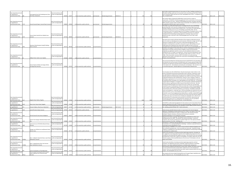| http://opendatacommunit<br>es.org/id/district-<br>council/cannock-chase                   | Land opposite Keys Park football ground, Keys<br>Park Road, Hednesford              | http://cannockchase.addr<br>esscafe.com/app/explore                            | 400745 | 311077 | 5.3 not owned by a public authority  | permissioned     | full planning permission | 2018-03-13 | 119  | 11   | CH/17/236 is full planning permission for the erection of 119no. Dwellings including 21no<br>Affordable dwellings, open space and associated roads and parking, granted March 2018.<br>Due to commence 2018. Site area circa 5.3ha. Developable area is 4.2ha. 1 completion to<br>date. Completed 2020.<br>2017-09-01<br>2021-12-20<br>2021-12-20                                                                                                                                                                                                                                                                                                                                                                                                                                                                                                                                                                                                                                                                                                                                                                                                                                                                                                                                                                                                                                                                                                                                                                                                                                                                                                                                                       |
|-------------------------------------------------------------------------------------------|-------------------------------------------------------------------------------------|--------------------------------------------------------------------------------|--------|--------|--------------------------------------|------------------|--------------------------|------------|------|------|---------------------------------------------------------------------------------------------------------------------------------------------------------------------------------------------------------------------------------------------------------------------------------------------------------------------------------------------------------------------------------------------------------------------------------------------------------------------------------------------------------------------------------------------------------------------------------------------------------------------------------------------------------------------------------------------------------------------------------------------------------------------------------------------------------------------------------------------------------------------------------------------------------------------------------------------------------------------------------------------------------------------------------------------------------------------------------------------------------------------------------------------------------------------------------------------------------------------------------------------------------------------------------------------------------------------------------------------------------------------------------------------------------------------------------------------------------------------------------------------------------------------------------------------------------------------------------------------------------------------------------------------------------------------------------------------------------|
|                                                                                           |                                                                                     |                                                                                |        |        |                                      |                  |                          |            |      |      |                                                                                                                                                                                                                                                                                                                                                                                                                                                                                                                                                                                                                                                                                                                                                                                                                                                                                                                                                                                                                                                                                                                                                                                                                                                                                                                                                                                                                                                                                                                                                                                                                                                                                                         |
| http://opendatacommuniti<br>es.org/id/district-                                           |                                                                                     | http://cannockchase.addr<br>esscafe.com/app/explore                            |        |        |                                      |                  |                          |            |      |      | Site recently subject of disposal by Staffordshire County Council as surplus to<br>requirements. CH/19/010 is full planning application for the construction of a three storey<br>care home (C2) for 91 rooms. Capacity of 49 dwellings based upon calculation specified in                                                                                                                                                                                                                                                                                                                                                                                                                                                                                                                                                                                                                                                                                                                                                                                                                                                                                                                                                                                                                                                                                                                                                                                                                                                                                                                                                                                                                             |
| council/cannock-chase<br>C178                                                             | County Grounds Depot, Cannock Road, Cannock t                                       |                                                                                | 398593 | 310918 | 0.44 owned by a public authority     | permissioned     | full planning permission |            |      |      | NPPG using the average number of adults living in households, from published census data<br>(91 bedrooms/1.86 local ratio). Under construction<br>2017-09-01<br>2021-12-20                                                                                                                                                                                                                                                                                                                                                                                                                                                                                                                                                                                                                                                                                                                                                                                                                                                                                                                                                                                                                                                                                                                                                                                                                                                                                                                                                                                                                                                                                                                              |
| http://opendatacommuniti                                                                  |                                                                                     | http://cannockchase.add                                                        |        |        |                                      |                  |                          |            |      |      | CH/17/452 is an outline planning permission including access for up to 116 dwellings,<br>granted May 2018. Site in process of being acquired from Homes England by private<br>developer (Galiford Try) who intends to build out site. CH/17/452 is an outline planning<br>permission including access for up to 116 dwellings, granted May 2018. Site has<br>contamination issues from industrial legacy but has undergone remediation works in 2018<br>to enable development. CH/19/147 is a Reserved Matters permission for residential<br>development for 116 dwellings including appearance, landscape, layout and scale -                                                                                                                                                                                                                                                                                                                                                                                                                                                                                                                                                                                                                                                                                                                                                                                                                                                                                                                                                                                                                                                                          |
| es.org/id/district-                                                                       | Former Parker Hannifin Site, Walkmill Lane,                                         | esscafe.com/app/explor                                                         |        |        |                                      |                  |                          |            |      |      | granted June 2019. Site area is 3.3ha. Net developable area is circa 2.9ha. Under                                                                                                                                                                                                                                                                                                                                                                                                                                                                                                                                                                                                                                                                                                                                                                                                                                                                                                                                                                                                                                                                                                                                                                                                                                                                                                                                                                                                                                                                                                                                                                                                                       |
| council/cannock-chase<br>-270                                                             | `annock                                                                             |                                                                                | 397742 | 308440 | 3.3 owned by a public authority      | ermissioned      | full planning permission | 019-06-24  |      |      | construction<br>2017-09-01<br>2021-12-20                                                                                                                                                                                                                                                                                                                                                                                                                                                                                                                                                                                                                                                                                                                                                                                                                                                                                                                                                                                                                                                                                                                                                                                                                                                                                                                                                                                                                                                                                                                                                                                                                                                                |
| http://opendatacommuniti<br>es.org/id/district-<br>council/cannock-chase<br>C432          | Gestamp, Wolverhampton Road/A5 Watling<br>Street, Cannock                           | http://cannockchase.add<br>esscafe.com/app/explor                              | 397177 | 309118 | 5.3 not owned by a public authority  | not permissioned |                          |            | 180  |      | Site owners have recently confirmed relocation of the company to alternative site and<br>plans for mixed use redevelopment of current premises. Relocation to begin mid-2017 and<br>expected to complete by 2020. CH/17/323 is outline planning application for the<br>demolition of existing factory and offices and erection of up to 180 dwellings and up to<br>30,000 square foot employment floor space (B1(C) and B89 Use Class), access and<br>associated works. Not yet determined. Site area is 5.3ha. Circa 4.5 net developable area.<br>2017-09-01<br>2021-12-20<br>Identified in the Rugeley TC Area Action Plan as a site for re-development as part of re-                                                                                                                                                                                                                                                                                                                                                                                                                                                                                                                                                                                                                                                                                                                                                                                                                                                                                                                                                                                                                                |
|                                                                                           |                                                                                     |                                                                                |        |        |                                      |                  |                          |            |      |      | organisation of secondary school provision in Rugeley. County Council previously<br>undertaken pre-application work for an extra care and residential scheme for circa 85<br>dwellings but this is no longer to be progressed. County Council pursuing disposal, which<br>may result in lower density scheme. Sale agreed to CCDC subject to contract. Site area                                                                                                                                                                                                                                                                                                                                                                                                                                                                                                                                                                                                                                                                                                                                                                                                                                                                                                                                                                                                                                                                                                                                                                                                                                                                                                                                        |
| http://opendatacommuniti<br>es.org/id/district-                                           |                                                                                     | http://cannockchase.add<br>esscafe.com/app/explor                              |        |        |                                      |                  |                          |            |      |      | 1.88ha. NDA not provided- assumed at 90%. CH/21/0022 is an outline planning<br>application (some matters reserved) for the construction of 58 dwellings including access                                                                                                                                                                                                                                                                                                                                                                                                                                                                                                                                                                                                                                                                                                                                                                                                                                                                                                                                                                                                                                                                                                                                                                                                                                                                                                                                                                                                                                                                                                                                |
| council/cannock-chase                                                                     | Aelfgar School, Taylors Lane, Rugeley                                               |                                                                                | 404269 | 318285 | 1.88 owned by a public authority     | not permissioned |                          |            |      |      | 2021-12-20<br>& layout, not yet determined.<br>2017-09-01                                                                                                                                                                                                                                                                                                                                                                                                                                                                                                                                                                                                                                                                                                                                                                                                                                                                                                                                                                                                                                                                                                                                                                                                                                                                                                                                                                                                                                                                                                                                                                                                                                               |
| http://opendatacommuniti<br>es.org/id/district-                                           | Former Exterior Profiles Ltd, Gregory Works,                                        | http://cannockchase.addr<br>esscafe.com/app/explor                             |        |        |                                      |                  |                          |            |      |      | Site previously benefited from full planning permission (CH/07/0215) for the demolition of<br>the industrial unit and the erection of 18 apartments and 5 houses, granted October 2007.<br>Landowner has expressed continued interest in taking forward redevelopment of the site<br>in the medium term. Sole landowner promoting site, not developer. Site currently in use                                                                                                                                                                                                                                                                                                                                                                                                                                                                                                                                                                                                                                                                                                                                                                                                                                                                                                                                                                                                                                                                                                                                                                                                                                                                                                                            |
| council/cannock-chase                                                                     | Armitage Road, Brereton                                                             |                                                                                | 405600 | 316723 | 0.43 not owned by a public authority | not permissioned |                          |            |      |      | as manufacturing works. Situated adjacent to a predominately residential area.<br>2017-09-01<br>2021-12-20                                                                                                                                                                                                                                                                                                                                                                                                                                                                                                                                                                                                                                                                                                                                                                                                                                                                                                                                                                                                                                                                                                                                                                                                                                                                                                                                                                                                                                                                                                                                                                                              |
|                                                                                           |                                                                                     |                                                                                |        |        |                                      |                  |                          |            |      |      | Cross boundary site with Lichfield District. Recently closed power station which is in the<br>process of being decommissioned and demolition works underway. Proposed for mixed<br>use redevelopment. Supplementary Planning Document adopted February 2018 which<br>identifies potential for predominately employment uses within Cannock Chase District and<br>residential development with Lichfield District. However, work is ongoing in relation to<br>identifying an appropriate mix of uses for the site with a planning application expected to<br>be submitted shortly. Anticipate circa 2,300 dwellings across the whole site. It is therefore<br>included within the Register in recognition of the cross boundary residential development<br>and the unknown capacities/uses within Cannock Chase District at this time. Site area<br>excludes greenfield land (golf course) which forms part of whole site currently being<br>considered as part of redevelopment. Whole site totals 55ha. Outline Planning Application<br>for the creation of development platform and the demolition of existing office building,<br>environmental centre, and security gatehouse, site clearance, remediation and phased<br>mixed-use development comprising: up to 2,300 new dwellings and residential units (use<br>classes C3 and C2); up to 1.2 ha of mixed-use (use classes A1, A2, A3, A4, A5, C1, C2, C3,<br>D1 and D2); up to 5 ha of employment (use classes B1a, b, c and B2); a school (All Through<br>School or 1 no. 2 Form Entry Primary School (use class D1)); formal and informal publicly<br>accessible open space; key infrastructure including new adoptable roads within the site |
| http://opendatacommuniti                                                                  |                                                                                     | http://cannockchase.addi<br>esscafe.com/app/explore                            |        |        |                                      |                  |                          |            |      |      | and the provision of a new primary access junction on to the A513; ground and roof                                                                                                                                                                                                                                                                                                                                                                                                                                                                                                                                                                                                                                                                                                                                                                                                                                                                                                                                                                                                                                                                                                                                                                                                                                                                                                                                                                                                                                                                                                                                                                                                                      |
| es.org/id/district-<br>council/cannock-chase<br>R127                                      | Rugeley Power Station, Rugeley                                                      |                                                                                | 405601 | 317840 | 35.5 not owned by a public authority | not permissioned |                          |            | 2300 | 2300 | mounted solar panels and 2 no. existing electricity substations (132 KV and 400 KV)<br>2021-12-20<br>2017-09-01<br>retained (All Matters Reserved Except Access) - not yet determined                                                                                                                                                                                                                                                                                                                                                                                                                                                                                                                                                                                                                                                                                                                                                                                                                                                                                                                                                                                                                                                                                                                                                                                                                                                                                                                                                                                                                                                                                                                   |
| http://opendatacommunit<br>es.org/id/district-<br>council/cannock-chase<br>R139           | leron Court, Heron Street, Rugeley                                                  | nttp://cannockchase.add<br>esscafe.com/app/explore                             | 404664 | 317988 | 0.15 not owned by a public authority | ot permissioned  |                          |            |      |      | CH/15/0416 is outline planning application for the erection of a four storey block of 8 no 2<br>bedroom apartments and a pair of 3 bed semi-detached dwellings, awaiting Section 106.<br>2017-09-01<br>2021-12-20                                                                                                                                                                                                                                                                                                                                                                                                                                                                                                                                                                                                                                                                                                                                                                                                                                                                                                                                                                                                                                                                                                                                                                                                                                                                                                                                                                                                                                                                                       |
| http://opendatacommun<br>es.org/id/district-<br>C73                                       | ennent's Bakery, Wood Lane, Hednesford                                              | http://cannockchase.add<br>esscafe.com/app/explor                              | 400677 | 311762 | 0.24 not owned by a public authority | ermissioned      | full planning permission | 2017-10-18 |      |      | CH/17/249 is full planning permission for demolition of former bakery and the erection of<br>8no. dwellings, granted October 2017. Under construction<br>2017-09-01<br>2021-12-20                                                                                                                                                                                                                                                                                                                                                                                                                                                                                                                                                                                                                                                                                                                                                                                                                                                                                                                                                                                                                                                                                                                                                                                                                                                                                                                                                                                                                                                                                                                       |
| http://opendatacommuni                                                                    |                                                                                     | http://cannockchase.add                                                        |        |        |                                      |                  |                          |            |      |      |                                                                                                                                                                                                                                                                                                                                                                                                                                                                                                                                                                                                                                                                                                                                                                                                                                                                                                                                                                                                                                                                                                                                                                                                                                                                                                                                                                                                                                                                                                                                                                                                                                                                                                         |
| es.org/id/district-<br>C <sub>103</sub><br>http://opendatacommunit<br>es.org/id/district- | and off St John's Road, Cannock                                                     | esscafe.com/app/explore<br>http://cannockchase.addr<br>esscafe.com/app/explore | 397907 | 309533 | 0.25 owned by a public authority     | ot permissioned  |                          |            |      |      | 2017-09-01<br>2021-12-20<br>Cabinet decision 10/7/03 declared surplus to requirements and is due for disposal.<br>Application CH/08/0006 was planning permission for 16 flats, now expired. Owner now<br>considering revised scheme of 7 houses, in medium term. Site owned by intended<br>developers. Requires relocation of business but this business is owned by                                                                                                                                                                                                                                                                                                                                                                                                                                                                                                                                                                                                                                                                                                                                                                                                                                                                                                                                                                                                                                                                                                                                                                                                                                                                                                                                    |
| council/cannock-chase<br>105<br>http://opendatacommunit                                   | 50 Park Street & Union Street, Bridgtown                                            | http://cannockchase.addr                                                       | 398278 | 308597 | 0.08 not owned by a public authority | not permissioned |                          |            |      |      | 2017-09-01<br>2021-12-20<br>landowner/developer so not considered a constraint.<br>Cleared site for former car garage. Planning permission CH/05/0161 for 9 flats and 2<br>dwellings granted June 2006 - now expired. Site owned by developer, Tudorworth                                                                                                                                                                                                                                                                                                                                                                                                                                                                                                                                                                                                                                                                                                                                                                                                                                                                                                                                                                                                                                                                                                                                                                                                                                                                                                                                                                                                                                               |
| es.org/id/district-                                                                       | Former Farm Garage, Hednesford Road, Heath                                          | esscafe.com/app/explore                                                        |        |        |                                      |                  |                          |            |      |      | Properties, who do wish to develop site in medium-longer term. Site capacity estimated                                                                                                                                                                                                                                                                                                                                                                                                                                                                                                                                                                                                                                                                                                                                                                                                                                                                                                                                                                                                                                                                                                                                                                                                                                                                                                                                                                                                                                                                                                                                                                                                                  |
| council/cannock-chase<br>C299<br>http://opendatacommuniti<br>es.org/id/district-<br>389   | Land to the rear of 454-460 Littleworth Road,                                       | http://cannockchase.addr<br>esscafe.com/app/explore                            | 400886 | 310564 | 0.18 not owned by a public authority | not permissioned |                          |            |      |      | based on provision of no flats - dwellings only.<br>2017-09-01<br>2021-12-20<br>CH/14/0176 is a withdrawn planning application for the erection of 5 dwellings as well as<br>the demolition of an existing dwelling (4 net dwellings). Landowner expressed interest in                                                                                                                                                                                                                                                                                                                                                                                                                                                                                                                                                                                                                                                                                                                                                                                                                                                                                                                                                                                                                                                                                                                                                                                                                                                                                                                                                                                                                                  |
| council/cannock-chase                                                                     | Cannock                                                                             |                                                                                | 401793 | 311985 | 0.27 not owned by a public authority | not permissioned |                          |            |      |      | 2017-09-01<br>2021-12-20<br>continuing to pursue development on site.<br>Cabinet decision 21/08/08 to set in motion course of action for disposal of garage courts.                                                                                                                                                                                                                                                                                                                                                                                                                                                                                                                                                                                                                                                                                                                                                                                                                                                                                                                                                                                                                                                                                                                                                                                                                                                                                                                                                                                                                                                                                                                                     |
| http://opendatacommuniti<br>es.org/id/district-<br>council/cannock-chase                  | Garage court off Red Lion Lane/Braemar Road,<br>Norton Canes                        | http://cannockchase.addr<br>esscafe.com/app/explor                             | 402626 | 307718 | 0.14 owned by a public authority     | ot permissioned  |                          |            |      |      | Site is still with Housing Services. Site is accessible from both sides. Identified as being<br>suitable for 5 dwellings (mix of two bed houses and bungalows) currently being considered<br>for development in medium term.<br>2017-09-01<br>2021-12-20                                                                                                                                                                                                                                                                                                                                                                                                                                                                                                                                                                                                                                                                                                                                                                                                                                                                                                                                                                                                                                                                                                                                                                                                                                                                                                                                                                                                                                                |
| http://opendatacommunit<br>es.org/id/district-                                            | Site A - Oakland's Industrial Estate, Lower Road, lesscafe.com/app/explore          | http://cannockchase.addr                                                       |        |        |                                      |                  |                          |            |      |      | Would involve demolition of existing manufacturing/storage properties. Developer has<br>also suggested incorporating adjacent garden land of neighbouring properties but this is<br>excluded from the brownfield land register site extent. The full extent of this site including<br>greenfield land is 0.91ha with a capacity of 34 dwellings. The register reflects the size and<br>indicative capacity of the brownfield element of the site only. For full details on the site                                                                                                                                                                                                                                                                                                                                                                                                                                                                                                                                                                                                                                                                                                                                                                                                                                                                                                                                                                                                                                                                                                                                                                                                                     |
| C220(a)<br>council/cannock-chase                                                          | Hednesford, Cannock                                                                 |                                                                                | 399794 | 911364 | 0.91 not owned by a public authority | not permissioned |                          |            |      |      | 2021-12-20<br>please see the SHLAA.<br>2017-09-01                                                                                                                                                                                                                                                                                                                                                                                                                                                                                                                                                                                                                                                                                                                                                                                                                                                                                                                                                                                                                                                                                                                                                                                                                                                                                                                                                                                                                                                                                                                                                                                                                                                       |
| http://opendatacommunit<br>es.org/id/district-<br>2220(b)<br>council/cannock-chase        | Site B - Image Business Park, East Cannock<br>Road, Hednesford, Cannock             | http://cannockchase.addr<br>esscafe.com/app/explor                             | 399723 | 311352 | 0.66 not owned by a public authority | ot permissioned  |                          |            |      |      | Would involve demolition of existing manufacturing/storage properties and land<br>acquisition. Pre-application discussions undertaken. Majority landowner is developer -<br>2021-12-20<br>however it may require additional landowners to facilitate wider development.<br>2017-09-01                                                                                                                                                                                                                                                                                                                                                                                                                                                                                                                                                                                                                                                                                                                                                                                                                                                                                                                                                                                                                                                                                                                                                                                                                                                                                                                                                                                                                   |
|                                                                                           |                                                                                     |                                                                                |        |        |                                      |                  |                          |            |      |      | Site previously considered restricted due to access issues. However, the owner of the site                                                                                                                                                                                                                                                                                                                                                                                                                                                                                                                                                                                                                                                                                                                                                                                                                                                                                                                                                                                                                                                                                                                                                                                                                                                                                                                                                                                                                                                                                                                                                                                                              |
| http://opendatacommunit<br>es.org/id/district-                                            |                                                                                     | http://cannockchase.addr<br>esscafe.com/app/explore                            |        |        |                                      |                  |                          |            |      |      | has now purchased land which would enable a widened access to the development.<br>However, there are now landownership issues which require resolution before the site car                                                                                                                                                                                                                                                                                                                                                                                                                                                                                                                                                                                                                                                                                                                                                                                                                                                                                                                                                                                                                                                                                                                                                                                                                                                                                                                                                                                                                                                                                                                              |
| council/cannock-chase<br>http://opendatacommuni                                           | and at The Mossley, off Armitage Road<br>Former Kodak Processing Site and Transport | http://cannockchase.add                                                        | 405014 | 317472 | 1.8 not owned by a public authority  | not permissioned |                          |            |      |      | 2021-12-20<br>progress. Net developable area circa 1.3ha.<br>2017-09-01                                                                                                                                                                                                                                                                                                                                                                                                                                                                                                                                                                                                                                                                                                                                                                                                                                                                                                                                                                                                                                                                                                                                                                                                                                                                                                                                                                                                                                                                                                                                                                                                                                 |
| es.org/id/district-                                                                       | Depot, Redbrook Lane Industrial Estate,                                             | esscafe.com/app/explore                                                        |        |        |                                      |                  |                          |            |      |      | Site comprises the former Kodak Finishing Works and Transport Depot. Identified as low                                                                                                                                                                                                                                                                                                                                                                                                                                                                                                                                                                                                                                                                                                                                                                                                                                                                                                                                                                                                                                                                                                                                                                                                                                                                                                                                                                                                                                                                                                                                                                                                                  |
| council/cannock-chase<br>R43(a)                                                           | Brereton                                                                            |                                                                                | 404767 | 316465 | 2.3 not owned by a public authority  | not permissioned |                          |            |      |      | 2017-09-01<br>2021-12-20<br>quality employment area. Net developable area circa 1.7ha.                                                                                                                                                                                                                                                                                                                                                                                                                                                                                                                                                                                                                                                                                                                                                                                                                                                                                                                                                                                                                                                                                                                                                                                                                                                                                                                                                                                                                                                                                                                                                                                                                  |